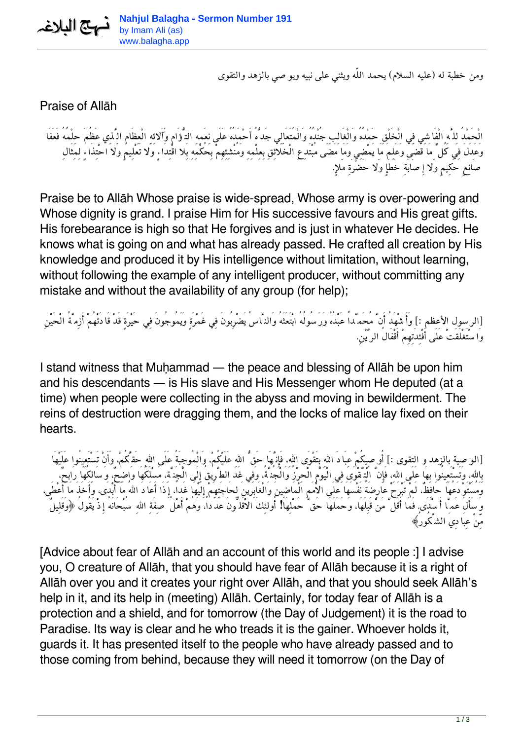*ومن خطبة له (عليه السلام) يحمد اللّه ويثني على نبيه ويوصي بالزهد والتقوى*

## Praise of Allāh

*الْحَمْدُ لِلَّهِ الْفَاشِي فِي الْخَلْقِ حَمْدُهُ وَالْغَالِبِ جُنْدُهُ وَالْمُتَعَالِي جَدُّهُ أَحْمَدُهُ عَلَى نِعَمِهِ التُّؤَامِ وَآَلائِهِ الْعِظَامِ الَّذِي عَظُمَ حِلْمُهُ فَعَفَا وَعَدَلَ فِي كُلِّ مَا قَضَى وَعَلِمَ مَا يَمْضِي وَمَا مَضَى مُبْتَدِعِ الْخَلائِقِ بِعِلْمِهِ وَمُنْشِئِهِمْ بِحُكْمِهِ بَِلا اقْتِدَاءٍ وَلا تَعْلِيمٍ وَلا احْتِذَاءٍ لِمِثَالِ صَانِعٍ حَكِيمٍ وَلا إِصَابَةِ خَطَإٍ وَلا حَضْرَةِ مَلإ.ٍ*

Praise be to Allāh Whose praise is wide-spread, Whose army is over-powering and Whose dignity is grand. I praise Him for His successive favours and His great gifts. His forebearance is high so that He forgives and is just in whatever He decides. He knows what is going on and what has already passed. He crafted all creation by His knowledge and produced it by His intelligence without limitation, without learning, without following the example of any intelligent producer, without committing any mistake and without the availability of any group (for help);

*[الرسول الأعظم :] وَأَشْهَدُ أَنَّ مُحَمَّداً عَبْدُهُ وَرَسُولُهُ ابْتَعَثَهُ وَالنَّاسُ يَضْرِبُونَ فِي غَمْرَةٍ وَيَمُوجُونَ فِي حَيْرَةٍ قَدْ قَادَتْهُمْ أَزِمَّةُ الْحَيْنِ وَاسْتَغْلَقَتْ عَلَى أَفْئِدَتِهِمْ أَقْفَالُ الرَّيْن.ِ*

I stand witness that Muḥammad — the peace and blessing of Allāh be upon him and his descendants — is His slave and His Messenger whom He deputed (at a time) when people were collecting in the abyss and moving in bewilderment. The reins of destruction were dragging them, and the locks of malice lay fixed on their hearts.

*[الوصية بالزهد و التقوى :] أُوصِيكُمْ عِبَادَ االلهِ بِتَقْوَى االله،ِ فَإِنَّهَا حَقُّ االلهِ عَلَيْكُم،ْ وَالْمُوجِبَةُ عَلَى االلهِ حَقَّكُم،ْ وَأَنْ تَسْتَعِينُوا عَلَيْهَا بِاالله،ِ وَتَسْتَعِينُوا بِهَا عَلَى االله،ِ فَإِنَّ الْتَّقْوَى فِي الْيَوْمِ الْحِرْزُ وَالْجُنَّة،ُ وَفِي غَد الطَّرِيقُ إِلَى الْجَنَّة،ِ مَسْلَكُهَا وَاضِح،ٌ وَسَالِكُهَا رَابح،ٌ وَمُسْتَوْدَعُهَا حَافِظ،ٌ لَمْ تَبْرَحْ عَارِضَةً نَفْسَهَا عَلَى الاُْمَمِ الْمَاضِينَ وَالْغَابِرينَ لِحَاجَتِهِمْ إِلَيْهَا غَدا،ً إِذَا أَعَادَ االلهُ مَا أَبْدَى، وَأَخَذَ مَا أَعْطَى، وَسَأَلَ عَمَّا أَسْدَى. فَمَا أَقَلَّ مَنْ قَبِلَهَا، وَحَمَلَهَا حَقَّ حَمْلِهَا! أُولئِكَ الاْقَلُّونَ عَدَدا،ً وَهُمْ أَهْلُ صِفَةِ االلهِ سُبْحَانَهُ إِذْ يَقُولُ ﴿وَقَلِيلٌ مِّنْ عِبَادِيَ الشَّكُورُ﴾*

[Advice about fear of Allāh and an account of this world and its people :] I advise you, O creature of Allāh, that you should have fear of Allāh because it is a right of Allāh over you and it creates your right over Allāh, and that you should seek Allāh's help in it, and its help in (meeting) Allāh. Certainly, for today fear of Allāh is a protection and a shield, and for tomorrow (the Day of Judgement) it is the road to Paradise. Its way is clear and he who treads it is the gainer. Whoever holds it, guards it. It has presented itself to the people who have already passed and to those coming from behind, because they will need it tomorrow (on the Day of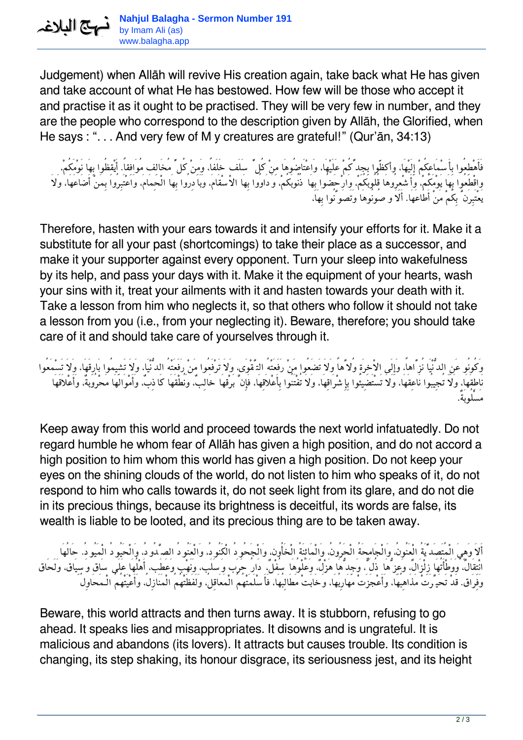Judgement) when Allāh will revive His creation again, take back what He has given and take account of what He has bestowed. How few will be those who accept it and practise it as it ought to be practised. They will be very few in number, and they are the people who correspond to the description given by Allāh, the Glorified, when He says : ". . . And very few of M y creatures are grateful!" (Qur'ān, 34:13)

*فَأَهْطِعُوا بِأَسْمَاعِكُمْ إِلَيْهَا، وأكظّوا بِجِدِّكُمْ عَلَيْهَا، وَاعْتَاضُوهَا مِنْ كُلِّ سَلَف خَلَفا،ً وَمِنْ كُلِّ مُخَالِف مُوَافِقا.ً أَيْقِظُوا بِهَا نَوْمَكُم،ْ واقْطَعُوا بِهَا يَوْمَكُم،ْ وَأَشْعِرُوهَا قُلُوبَكُم،ْ وَارْحَضُوا بِهَا ذُنُوبَكُم،ْ وَدَاوُوا بِهَا الاْسْقَام،َ وَبَادِرُوا بِهَا الْحِمَام،َ وَاعْتَبِرُوا بِمَنْ أَضَاعَهَا، وَلاَ يَعْتَبِرَنَّ بِكُمْ مَنْ أَطَاعَهَا. أَلاَ وصُونُوهَا وَتَصَوَّنُوا بِهَا،*

Therefore, hasten with your ears towards it and intensify your efforts for it. Make it a substitute for all your past (shortcomings) to take their place as a successor, and make it your supporter against every opponent. Turn your sleep into wakefulness by its help, and pass your days with it. Make it the equipment of your hearts, wash your sins with it, treat your ailments with it and hasten towards your death with it. Take a lesson from him who neglects it, so that others who follow it should not take a lesson from you (i.e., from your neglecting it). Beware, therefore; you should take care of it and should take care of yourselves through it.

*وَكُونُو عَنِ الدُّنْيَا نُزَّاها،ً وَإِلَى الاْخِرَةِ وُلاَّهاً وَلاَ تَضَعُوا مَنْ رَفَعَتْهُ التَّقْوَى، وَلاَ تَرْفَعُوا مَنْ رَفَعَتْهُ الدُّنْيَا، وَلاَ تَشِيمُوا بَارِقَهَا، وَلاَ تَسْمَعُوا نَاطِقَهَا، وَلاَ تُجِيبُوا نَاعِقَهَا، وَلاَ تَسْتَضِيئُوا بِإِشْرَاقِهَا، وَلاَ تُفْتَنُوا بِأَعْلاَقِهَا، فَإِنَّ بَرْقهَا خَالِب،ٌ وَنُطْقَهَا كَاذِب،ٌ وَأَمْوَالَهَا مَحْرُوبة،ٌ وَأَعْلاَقَهَا مَسْلُوبَة.ٌ*

Keep away from this world and proceed towards the next world infatuatedly. Do not regard humble he whom fear of Allāh has given a high position, and do not accord a high position to him whom this world has given a high position. Do not keep your eyes on the shining clouds of the world, do not listen to him who speaks of it, do not respond to him who calls towards it, do not seek light from its glare, and do not die in its precious things, because its brightness is deceitful, its words are false, its wealth is liable to be looted, and its precious thing are to be taken away.

أَلاَ وَهِيَ الْمُتَصَدِّيَّةُ الْعَنُونُ، وَالْجَامِحَةُ الْحَرُونُ، وَالْمَائِنَةُ الْخَأُون، وَالْجَحُودُ الْكَنُودُ، وَالْعَنُودُ الصَّدُودُ، وَالْحَيُودُ الْمَيُودُ. حَالُهَا *انْتِقَال،ٌ وَوَطْأَتُهَا زِلْزَال،ٌ وَعِزُّهَا ذُلٌّ، وَجِدُّهَا هَزْل،ٌ وَعُلْوُهَا سُفْل،ٌ دَارُ حَرَب وَسَلَب، وَنَهْب وَعَطَب، أَهْلُهَا عَلَى سَاق وَسِيَاق، وَلَحَاق وَفِرَاق. قَدْ تَحَيَّرَتْ مَذَاهِبُهَا، وَأَعْجَزَتْ مَهَارِبُهَا، وَخَابَتْ مَطَالِبُهَا، فَأَسْلَمَتْهُمُ الْمَعَاقِل،ُ وَلَفَظَتْهُمُ الْمَنَازِل،ُ وَأَعْيَتْهُمُ الْـمَحَاوِلُ*

Beware, this world attracts and then turns away. It is stubborn, refusing to go ahead. It speaks lies and misappropriates. It disowns and is ungrateful. It is malicious and abandons (its lovers). It attracts but causes trouble. Its condition is changing, its step shaking, its honour disgrace, its seriousness jest, and its height